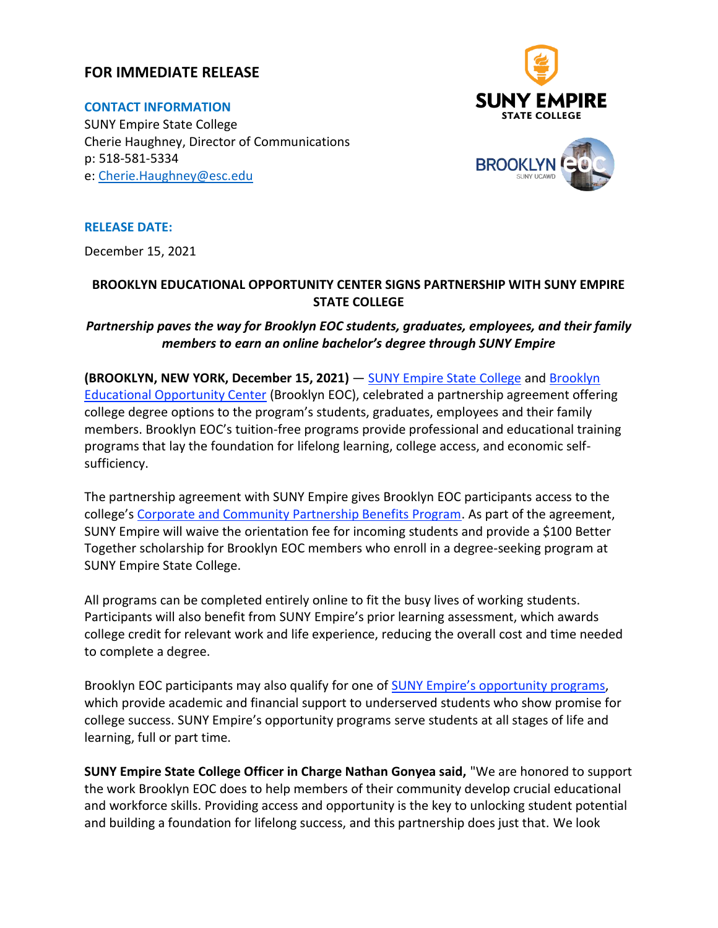### **FOR IMMEDIATE RELEASE**

**CONTACT INFORMATION** SUNY Empire State College Cherie Haughney, Director of Communications p: 518-581-5334 e: [Cherie.Haughney@esc.edu](mailto:Cherie.Haughney@esc.edu)





**RELEASE DATE:**

December 15, 2021

### **BROOKLYN EDUCATIONAL OPPORTUNITY CENTER SIGNS PARTNERSHIP WITH SUNY EMPIRE STATE COLLEGE**

### *Partnership paves the way for Brooklyn EOC students, graduates, employees, and their family members to earn an online bachelor's degree through SUNY Empire*

**(BROOKLYN, NEW YORK, December 15, 2021)** — [SUNY Empire State College](http://www.esc.edu/) and Brooklyn [Educational Opportunity Center](https://www.sunybeoc.org/) (Brooklyn EOC), celebrated a partnership agreement offering college degree options to the program's students, graduates, employees and their family members. Brooklyn EOC's tuition-free programs provide professional and educational training programs that lay the foundation for lifelong learning, college access, and economic selfsufficiency.

The partnership agreement with SUNY Empire gives Brooklyn EOC participants access to the college's [Corporate and Community Partnership Benefits Program.](https://www.esc.edu/partnership-programs/) As part of the agreement, SUNY Empire will waive the orientation fee for incoming students and provide a \$100 Better Together scholarship for Brooklyn EOC members who enroll in a degree-seeking program at SUNY Empire State College.

All programs can be completed entirely online to fit the busy lives of working students. Participants will also benefit from SUNY Empire's prior learning assessment, which awards college credit for relevant work and life experience, reducing the overall cost and time needed to complete a degree.

Brooklyn EOC participants may also qualify for one of **[SUNY Empire's opportunity programs](https://www.esc.edu/admissions/eop/)**, which provide academic and financial support to underserved students who show promise for college success. SUNY Empire's opportunity programs serve students at all stages of life and learning, full or part time.

**SUNY Empire State College Officer in Charge Nathan Gonyea said,** "We are honored to support the work Brooklyn EOC does to help members of their community develop crucial educational and workforce skills. Providing access and opportunity is the key to unlocking student potential and building a foundation for lifelong success, and this partnership does just that. We look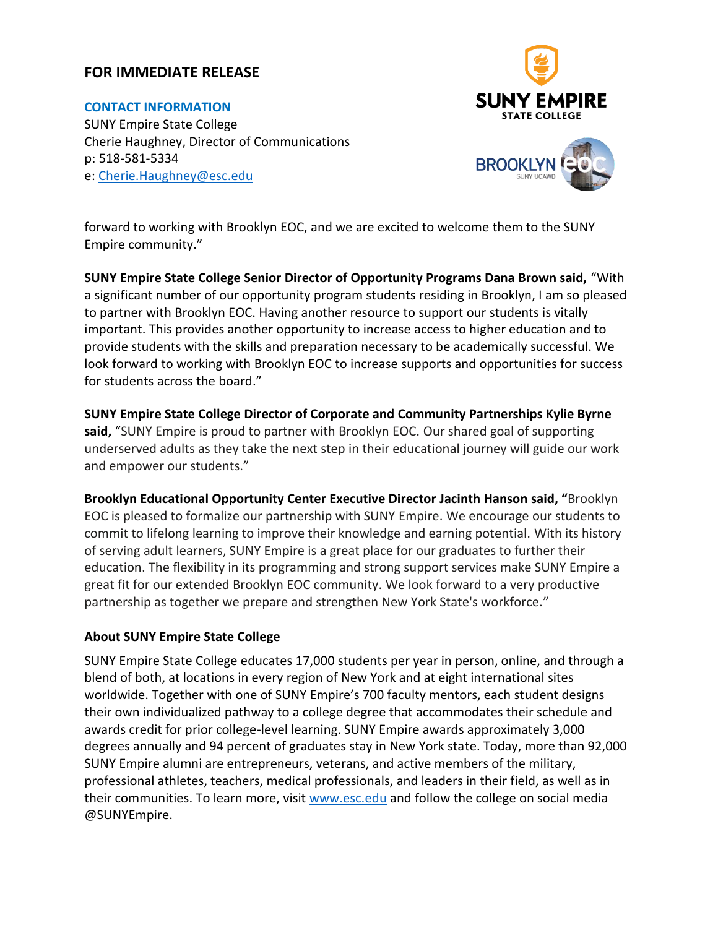# **FOR IMMEDIATE RELEASE**

**CONTACT INFORMATION** SUNY Empire State College Cherie Haughney, Director of Communications p: 518-581-5334 e: [Cherie.Haughney@esc.edu](mailto:Cherie.Haughney@esc.edu)



forward to working with Brooklyn EOC, and we are excited to welcome them to the SUNY Empire community."

**SUNY Empire State College Senior Director of Opportunity Programs Dana Brown said,** "With a significant number of our opportunity program students residing in Brooklyn, I am so pleased to partner with Brooklyn EOC. Having another resource to support our students is vitally important. This provides another opportunity to increase access to higher education and to provide students with the skills and preparation necessary to be academically successful. We look forward to working with Brooklyn EOC to increase supports and opportunities for success for students across the board."

**SUNY Empire State College Director of Corporate and Community Partnerships Kylie Byrne** said, "SUNY Empire is proud to partner with Brooklyn EOC. Our shared goal of supporting underserved adults as they take the next step in their educational journey will guide our work and empower our students."

**Brooklyn Educational Opportunity Center Executive Director Jacinth Hanson said, "**Brooklyn EOC is pleased to formalize our partnership with SUNY Empire. We encourage our students to commit to lifelong learning to improve their knowledge and earning potential. With its history of serving adult learners, SUNY Empire is a great place for our graduates to further their education. The flexibility in its programming and strong support services make SUNY Empire a great fit for our extended Brooklyn EOC community. We look forward to a very productive partnership as together we prepare and strengthen New York State's workforce."

#### **About SUNY Empire State College**

SUNY Empire State College educates 17,000 students per year in person, online, and through a blend of both, at locations in every region of New York and at eight international sites worldwide. Together with one of SUNY Empire's 700 faculty mentors, each student designs their own individualized pathway to a college degree that accommodates their schedule and awards credit for prior college-level learning. SUNY Empire awards approximately 3,000 degrees annually and 94 percent of graduates stay in New York state. Today, more than 92,000 SUNY Empire alumni are entrepreneurs, veterans, and active members of the military, professional athletes, teachers, medical professionals, and leaders in their field, as well as in their communities. To learn more, visit [www.esc.edu](http://www.esc.edu/) and follow the college on social media @SUNYEmpire.